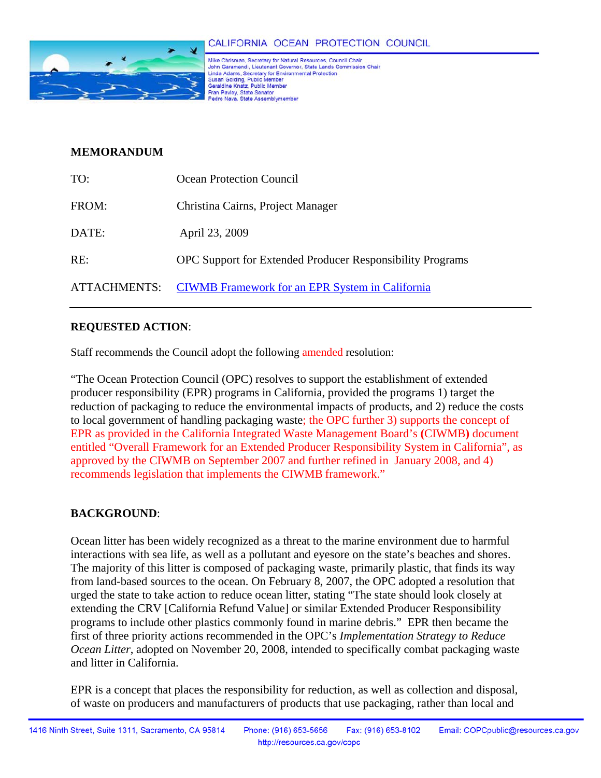

Mike Chrisman, Secretary for Natural Resources, Council Chair John Garamendi, Lieutenant Governor, State Lands Commission Chair United Adams, Secretary for Environmental Protection<br>Suite Adams, Secretary for Environmental Protection<br>Susan Golding, Public Member Fran Pavley, State Senator<br>Pedro Nava, State Assemblymember

## **MEMORANDUM**

| TO:          | Ocean Protection Council                                         |
|--------------|------------------------------------------------------------------|
| FROM:        | Christina Cairns, Project Manager                                |
| DATE:        | April 23, 2009                                                   |
| RE:          | <b>OPC</b> Support for Extended Producer Responsibility Programs |
| ATTACHMENTS: | <b>CIWMB</b> Framework for an EPR System in California           |

## **REQUESTED ACTION**:

Staff recommends the Council adopt the following amended resolution:

"The Ocean Protection Council (OPC) resolves to support the establishment of extended producer responsibility (EPR) programs in California, provided the programs 1) target the reduction of packaging to reduce the environmental impacts of products, and 2) reduce the costs to local government of handling packaging waste; the OPC further 3) supports the concept of EPR as provided in the California Integrated Waste Management Board's **(**CIWMB**)** document entitled "Overall Framework for an Extended Producer Responsibility System in California", as approved by the CIWMB on September 2007 and further refined in January 2008, and 4) recommends legislation that implements the CIWMB framework."

## **BACKGROUND**:

Ocean litter has been widely recognized as a threat to the marine environment due to harmful interactions with sea life, as well as a pollutant and eyesore on the state's beaches and shores. The majority of this litter is composed of packaging waste, primarily plastic, that finds its way from land-based sources to the ocean. On February 8, 2007, the OPC adopted a resolution that urged the state to take action to reduce ocean litter, stating "The state should look closely at extending the CRV [California Refund Value] or similar Extended Producer Responsibility programs to include other plastics commonly found in marine debris." EPR then became the first of three priority actions recommended in the OPC's *Implementation Strategy to Reduce Ocean Litter*, adopted on November 20, 2008, intended to specifically combat packaging waste and litter in California.

EPR is a concept that places the responsibility for reduction, as well as collection and disposal, of waste on producers and manufacturers of products that use packaging, rather than local and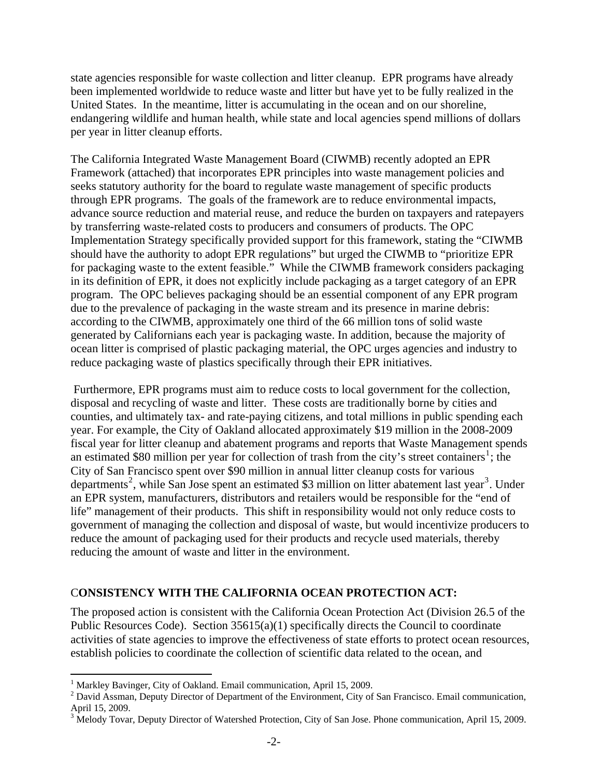state agencies responsible for waste collection and litter cleanup. EPR programs have already been implemented worldwide to reduce waste and litter but have yet to be fully realized in the United States. In the meantime, litter is accumulating in the ocean and on our shoreline, endangering wildlife and human health, while state and local agencies spend millions of dollars per year in litter cleanup efforts.

The California Integrated Waste Management Board (CIWMB) recently adopted an EPR Framework (attached) that incorporates EPR principles into waste management policies and seeks statutory authority for the board to regulate waste management of specific products through EPR programs. The goals of the framework are to reduce environmental impacts, advance source reduction and material reuse, and reduce the burden on taxpayers and ratepayers by transferring waste-related costs to producers and consumers of products. The OPC Implementation Strategy specifically provided support for this framework, stating the "CIWMB should have the authority to adopt EPR regulations" but urged the CIWMB to "prioritize EPR for packaging waste to the extent feasible." While the CIWMB framework considers packaging in its definition of EPR, it does not explicitly include packaging as a target category of an EPR program. The OPC believes packaging should be an essential component of any EPR program due to the prevalence of packaging in the waste stream and its presence in marine debris: according to the CIWMB, approximately one third of the 66 million tons of solid waste generated by Californians each year is packaging waste. In addition, because the majority of ocean litter is comprised of plastic packaging material, the OPC urges agencies and industry to reduce packaging waste of plastics specifically through their EPR initiatives.

 Furthermore, EPR programs must aim to reduce costs to local government for the collection, disposal and recycling of waste and litter. These costs are traditionally borne by cities and counties, and ultimately tax- and rate-paying citizens, and total millions in public spending each year. For example, the City of Oakland allocated approximately \$19 million in the 2008-2009 fiscal year for litter cleanup and abatement programs and reports that Waste Management spends an estimated \$80 million per year for collection of trash from the city's street containers<sup>[1](#page-1-0)</sup>; the City of San Francisco spent over \$90 million in annual litter cleanup costs for various departments<sup>[2](#page-1-1)</sup>, while San Jose spent an estimated \$[3](#page-1-2) million on litter abatement last year<sup>3</sup>. Under an EPR system, manufacturers, distributors and retailers would be responsible for the "end of life" management of their products. This shift in responsibility would not only reduce costs to government of managing the collection and disposal of waste, but would incentivize producers to reduce the amount of packaging used for their products and recycle used materials, thereby reducing the amount of waste and litter in the environment.

### C**ONSISTENCY WITH THE CALIFORNIA OCEAN PROTECTION ACT:**

The proposed action is consistent with the California Ocean Protection Act (Division 26.5 of the Public Resources Code). Section  $35615(a)(1)$  specifically directs the Council to coordinate activities of state agencies to improve the effectiveness of state efforts to protect ocean resources, establish policies to coordinate the collection of scientific data related to the ocean, and

<u>.</u>

<span id="page-1-0"></span><sup>&</sup>lt;sup>1</sup> Markley Bavinger, City of Oakland. Email communication, April 15, 2009.

<span id="page-1-1"></span> $2^{2}$  David Assman, Deputy Director of Department of the Environment, City of San Francisco. Email communication, April 15, 2009.

<span id="page-1-2"></span> $3 \text{ Melody}$  Tovar, Deputy Director of Watershed Protection, City of San Jose. Phone communication, April 15, 2009.